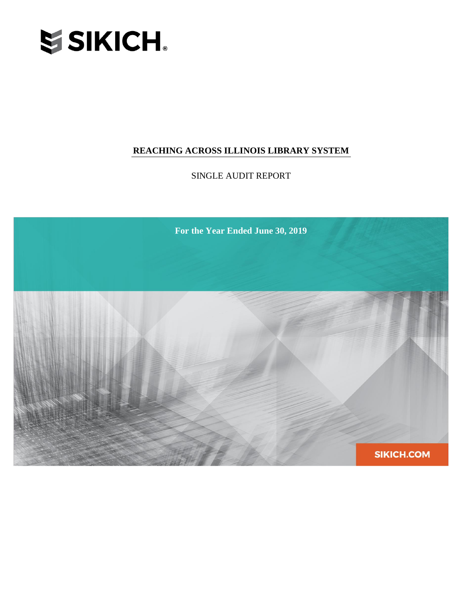

SINGLE AUDIT REPORT

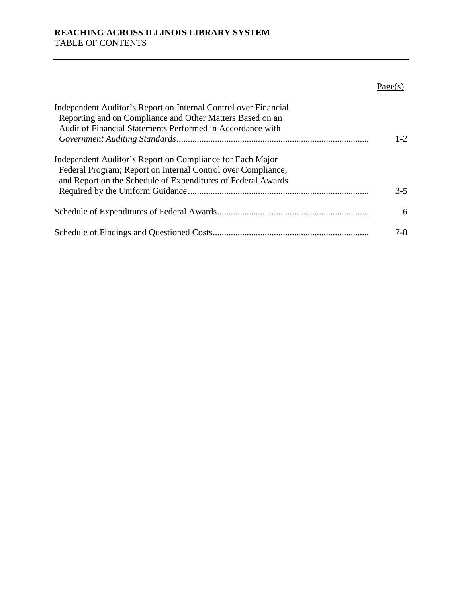# $Page(s)$

| Independent Auditor's Report on Internal Control over Financial<br>Reporting and on Compliance and Other Matters Based on an |         |
|------------------------------------------------------------------------------------------------------------------------------|---------|
| Audit of Financial Statements Performed in Accordance with                                                                   |         |
|                                                                                                                              | $1 - 2$ |
| Independent Auditor's Report on Compliance for Each Major                                                                    |         |
| Federal Program; Report on Internal Control over Compliance;                                                                 |         |
| and Report on the Schedule of Expenditures of Federal Awards                                                                 |         |
|                                                                                                                              | $3-5$   |
|                                                                                                                              | 6       |
|                                                                                                                              | $7-8$   |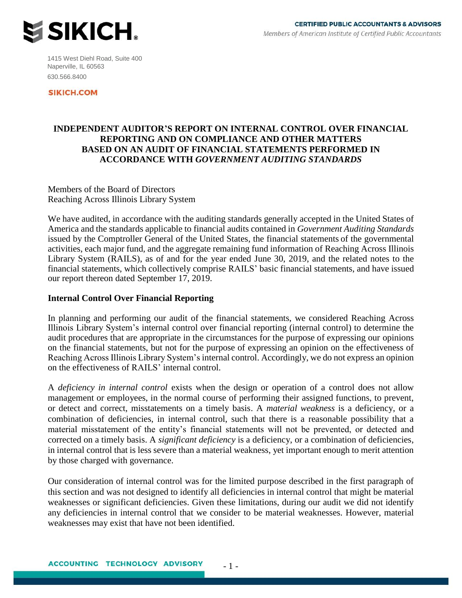

1415 West Diehl Road, Suite 400 Naperville, IL 60563 630.566.8400

**SIKICH.COM** 

## **INDEPENDENT AUDITOR'S REPORT ON INTERNAL CONTROL OVER FINANCIAL REPORTING AND ON COMPLIANCE AND OTHER MATTERS BASED ON AN AUDIT OF FINANCIAL STATEMENTS PERFORMED IN ACCORDANCE WITH** *GOVERNMENT AUDITING STANDARDS*

Members of the Board of Directors Reaching Across Illinois Library System

We have audited, in accordance with the auditing standards generally accepted in the United States of America and the standards applicable to financial audits contained in *Government Auditing Standards*  issued by the Comptroller General of the United States, the financial statements of the governmental activities, each major fund, and the aggregate remaining fund information of Reaching Across Illinois Library System (RAILS), as of and for the year ended June 30, 2019, and the related notes to the financial statements, which collectively comprise RAILS' basic financial statements, and have issued our report thereon dated September 17, 2019.

## **Internal Control Over Financial Reporting**

In planning and performing our audit of the financial statements, we considered Reaching Across Illinois Library System's internal control over financial reporting (internal control) to determine the audit procedures that are appropriate in the circumstances for the purpose of expressing our opinions on the financial statements, but not for the purpose of expressing an opinion on the effectiveness of Reaching Across Illinois Library System's internal control. Accordingly, we do not express an opinion on the effectiveness of RAILS' internal control.

A *deficiency in internal control* exists when the design or operation of a control does not allow management or employees, in the normal course of performing their assigned functions, to prevent, or detect and correct, misstatements on a timely basis. A *material weakness* is a deficiency, or a combination of deficiencies, in internal control, such that there is a reasonable possibility that a material misstatement of the entity's financial statements will not be prevented, or detected and corrected on a timely basis. A *significant deficiency* is a deficiency, or a combination of deficiencies, in internal control that is less severe than a material weakness, yet important enough to merit attention by those charged with governance.

Our consideration of internal control was for the limited purpose described in the first paragraph of this section and was not designed to identify all deficiencies in internal control that might be material weaknesses or significant deficiencies. Given these limitations, during our audit we did not identify any deficiencies in internal control that we consider to be material weaknesses. However, material weaknesses may exist that have not been identified.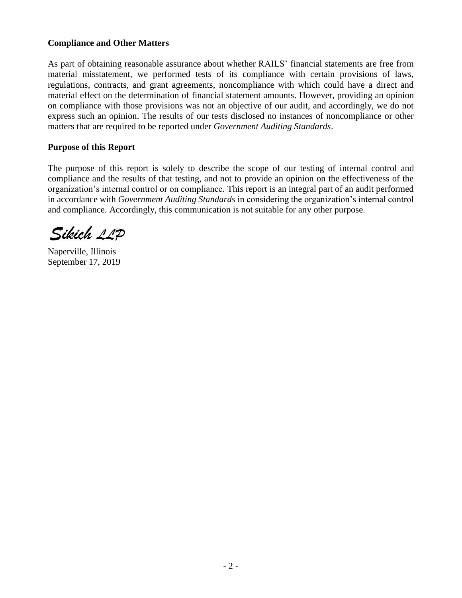## **Compliance and Other Matters**

As part of obtaining reasonable assurance about whether RAILS' financial statements are free from material misstatement, we performed tests of its compliance with certain provisions of laws, regulations, contracts, and grant agreements, noncompliance with which could have a direct and material effect on the determination of financial statement amounts. However, providing an opinion on compliance with those provisions was not an objective of our audit, and accordingly, we do not express such an opinion. The results of our tests disclosed no instances of noncompliance or other matters that are required to be reported under *Government Auditing Standards*.

## **Purpose of this Report**

The purpose of this report is solely to describe the scope of our testing of internal control and compliance and the results of that testing, and not to provide an opinion on the effectiveness of the organization's internal control or on compliance. This report is an integral part of an audit performed in accordance with *Government Auditing Standards* in considering the organization's internal control and compliance. Accordingly, this communication is not suitable for any other purpose.

Sikich 11P

Naperville, Illinois September 17, 2019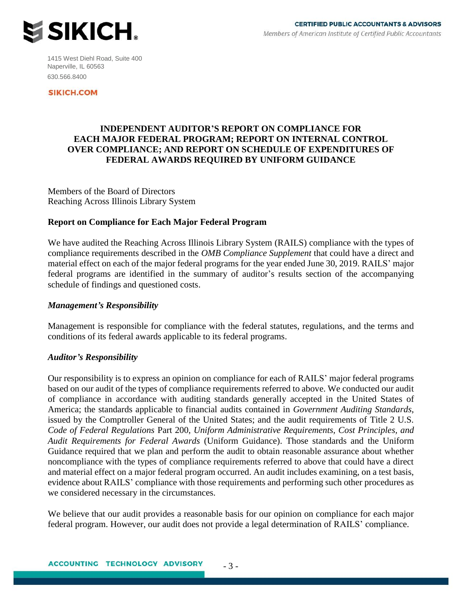

1415 West Diehl Road, Suite 400 Naperville, IL 60563 630.566.8400

**SIKICH.COM** 

## **INDEPENDENT AUDITOR'S REPORT ON COMPLIANCE FOR EACH MAJOR FEDERAL PROGRAM; REPORT ON INTERNAL CONTROL OVER COMPLIANCE; AND REPORT ON SCHEDULE OF EXPENDITURES OF FEDERAL AWARDS REQUIRED BY UNIFORM GUIDANCE**

Members of the Board of Directors Reaching Across Illinois Library System

## **Report on Compliance for Each Major Federal Program**

We have audited the Reaching Across Illinois Library System (RAILS) compliance with the types of compliance requirements described in the *OMB Compliance Supplement* that could have a direct and material effect on each of the major federal programs for the year ended June 30, 2019. RAILS' major federal programs are identified in the summary of auditor's results section of the accompanying schedule of findings and questioned costs.

## *Management's Responsibility*

Management is responsible for compliance with the federal statutes, regulations, and the terms and conditions of its federal awards applicable to its federal programs.

## *Auditor's Responsibility*

Our responsibility is to express an opinion on compliance for each of RAILS' major federal programs based on our audit of the types of compliance requirements referred to above. We conducted our audit of compliance in accordance with auditing standards generally accepted in the United States of America; the standards applicable to financial audits contained in *Government Auditing Standards*, issued by the Comptroller General of the United States; and the audit requirements of Title 2 U.S. *Code of Federal Regulations* Part 200, *Uniform Administrative Requirements, Cost Principles, and Audit Requirements for Federal Awards* (Uniform Guidance). Those standards and the Uniform Guidance required that we plan and perform the audit to obtain reasonable assurance about whether noncompliance with the types of compliance requirements referred to above that could have a direct and material effect on a major federal program occurred. An audit includes examining, on a test basis, evidence about RAILS' compliance with those requirements and performing such other procedures as we considered necessary in the circumstances.

We believe that our audit provides a reasonable basis for our opinion on compliance for each major federal program. However, our audit does not provide a legal determination of RAILS' compliance.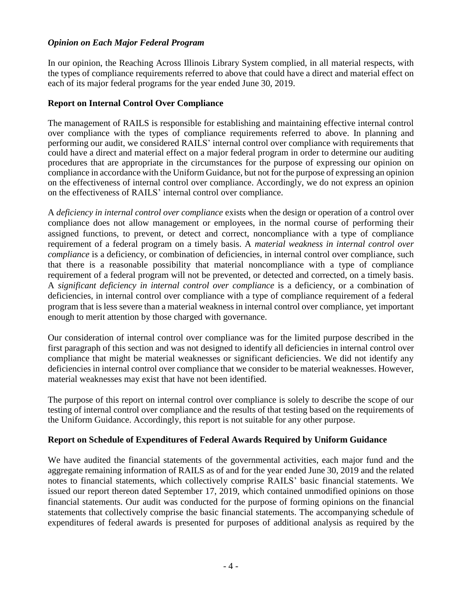## *Opinion on Each Major Federal Program*

In our opinion, the Reaching Across Illinois Library System complied, in all material respects, with the types of compliance requirements referred to above that could have a direct and material effect on each of its major federal programs for the year ended June 30, 2019.

## **Report on Internal Control Over Compliance**

The management of RAILS is responsible for establishing and maintaining effective internal control over compliance with the types of compliance requirements referred to above. In planning and performing our audit, we considered RAILS' internal control over compliance with requirements that could have a direct and material effect on a major federal program in order to determine our auditing procedures that are appropriate in the circumstances for the purpose of expressing our opinion on compliance in accordance with the Uniform Guidance, but not for the purpose of expressing an opinion on the effectiveness of internal control over compliance. Accordingly, we do not express an opinion on the effectiveness of RAILS' internal control over compliance.

A *deficiency in internal control over compliance* exists when the design or operation of a control over compliance does not allow management or employees, in the normal course of performing their assigned functions, to prevent, or detect and correct, noncompliance with a type of compliance requirement of a federal program on a timely basis. A *material weakness in internal control over compliance* is a deficiency, or combination of deficiencies, in internal control over compliance, such that there is a reasonable possibility that material noncompliance with a type of compliance requirement of a federal program will not be prevented, or detected and corrected, on a timely basis. A *significant deficiency in internal control over compliance* is a deficiency, or a combination of deficiencies, in internal control over compliance with a type of compliance requirement of a federal program that is less severe than a material weakness in internal control over compliance, yet important enough to merit attention by those charged with governance.

Our consideration of internal control over compliance was for the limited purpose described in the first paragraph of this section and was not designed to identify all deficiencies in internal control over compliance that might be material weaknesses or significant deficiencies. We did not identify any deficiencies in internal control over compliance that we consider to be material weaknesses. However, material weaknesses may exist that have not been identified.

The purpose of this report on internal control over compliance is solely to describe the scope of our testing of internal control over compliance and the results of that testing based on the requirements of the Uniform Guidance. Accordingly, this report is not suitable for any other purpose.

## **Report on Schedule of Expenditures of Federal Awards Required by Uniform Guidance**

We have audited the financial statements of the governmental activities, each major fund and the aggregate remaining information of RAILS as of and for the year ended June 30, 2019 and the related notes to financial statements, which collectively comprise RAILS' basic financial statements. We issued our report thereon dated September 17, 2019, which contained unmodified opinions on those financial statements. Our audit was conducted for the purpose of forming opinions on the financial statements that collectively comprise the basic financial statements. The accompanying schedule of expenditures of federal awards is presented for purposes of additional analysis as required by the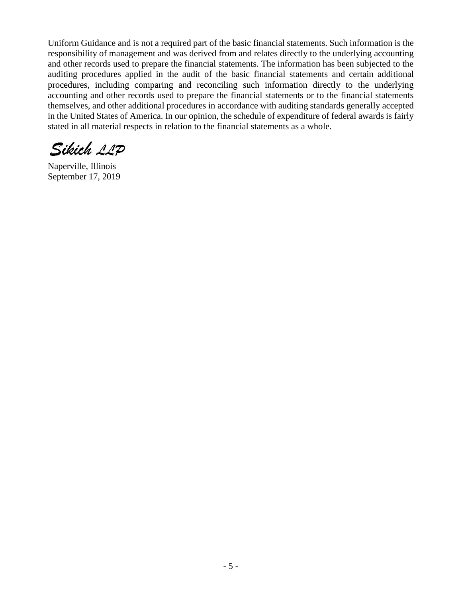Uniform Guidance and is not a required part of the basic financial statements. Such information is the responsibility of management and was derived from and relates directly to the underlying accounting and other records used to prepare the financial statements. The information has been subjected to the auditing procedures applied in the audit of the basic financial statements and certain additional procedures, including comparing and reconciling such information directly to the underlying accounting and other records used to prepare the financial statements or to the financial statements themselves, and other additional procedures in accordance with auditing standards generally accepted in the United States of America. In our opinion, the schedule of expenditure of federal awards is fairly stated in all material respects in relation to the financial statements as a whole.

Sikich 11P

Naperville, Illinois September 17, 2019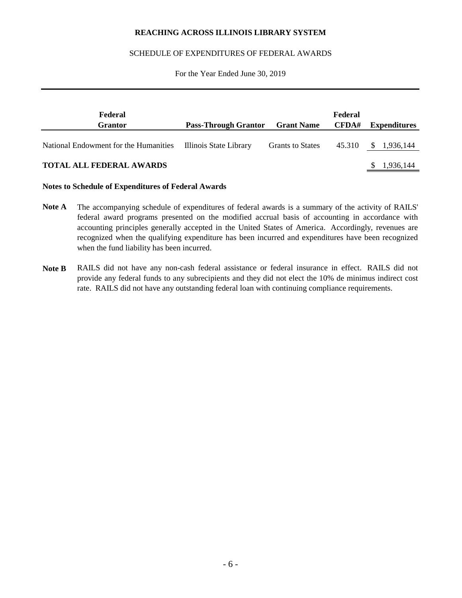#### SCHEDULE OF EXPENDITURES OF FEDERAL AWARDS

#### For the Year Ended June 30, 2019

| Federal<br><b>Grantor</b>                                    | <b>Pass-Through Grantor</b> Grant Name |                         | Federal<br>CFDA# | Expenditures |
|--------------------------------------------------------------|----------------------------------------|-------------------------|------------------|--------------|
| National Endowment for the Humanities Illinois State Library |                                        | <b>Grants to States</b> | 45.310           | \$ 1,936,144 |
| <b>TOTAL ALL FEDERAL AWARDS</b>                              |                                        |                         |                  | 1,936,144    |

#### **Notes to Schedule of Expenditures of Federal Awards**

- **Note A** The accompanying schedule of expenditures of federal awards is a summary of the activity of RAILS' federal award programs presented on the modified accrual basis of accounting in accordance with accounting principles generally accepted in the United States of America. Accordingly, revenues are recognized when the qualifying expenditure has been incurred and expenditures have been recognized when the fund liability has been incurred.
- **Note B** RAILS did not have any non-cash federal assistance or federal insurance in effect. RAILS did not provide any federal funds to any subrecipients and they did not elect the 10% de minimus indirect cost rate. RAILS did not have any outstanding federal loan with continuing compliance requirements.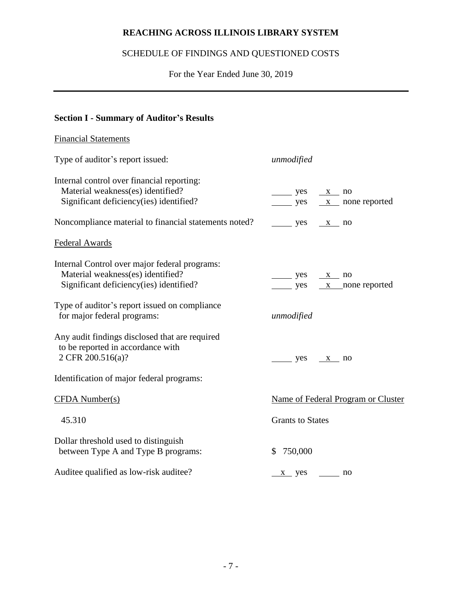# SCHEDULE OF FINDINGS AND QUESTIONED COSTS

For the Year Ended June 30, 2019

# **Section I - Summary of Auditor's Results**

# Financial Statements Type of auditor's report issued: *unmodified* Internal control over financial reporting:

| Material weakness(es) identified?                                                                                             | $\frac{\ }{\ }$ yes $\frac{\ }{x}$ no                                      |
|-------------------------------------------------------------------------------------------------------------------------------|----------------------------------------------------------------------------|
| Significant deficiency(ies) identified?                                                                                       | $yes \quad x \quad none reported$                                          |
| Noncompliance material to financial statements noted?                                                                         | $yes \quad x \quad no$                                                     |
| <b>Federal Awards</b>                                                                                                         |                                                                            |
| Internal Control over major federal programs:<br>Material weakness(es) identified?<br>Significant deficiency(ies) identified? | $yes \quad x \quad no$<br>$\frac{\ }{\ }$ yes $\frac{x}{\ }$ none reported |
| Type of auditor's report issued on compliance<br>for major federal programs:                                                  | unmodified                                                                 |
| Any audit findings disclosed that are required<br>to be reported in accordance with<br>2 CFR 200.516(a)?                      | $yes \t x no$                                                              |
| Identification of major federal programs:                                                                                     |                                                                            |
| $CFDA$ Number(s)                                                                                                              | Name of Federal Program or Cluster                                         |
| 45.310                                                                                                                        | <b>Grants to States</b>                                                    |
| Dollar threshold used to distinguish<br>between Type A and Type B programs:                                                   | 750,000<br>$\mathbb{S}^-$                                                  |
| Auditee qualified as low-risk auditee?                                                                                        | <u>x</u> yes<br>no                                                         |